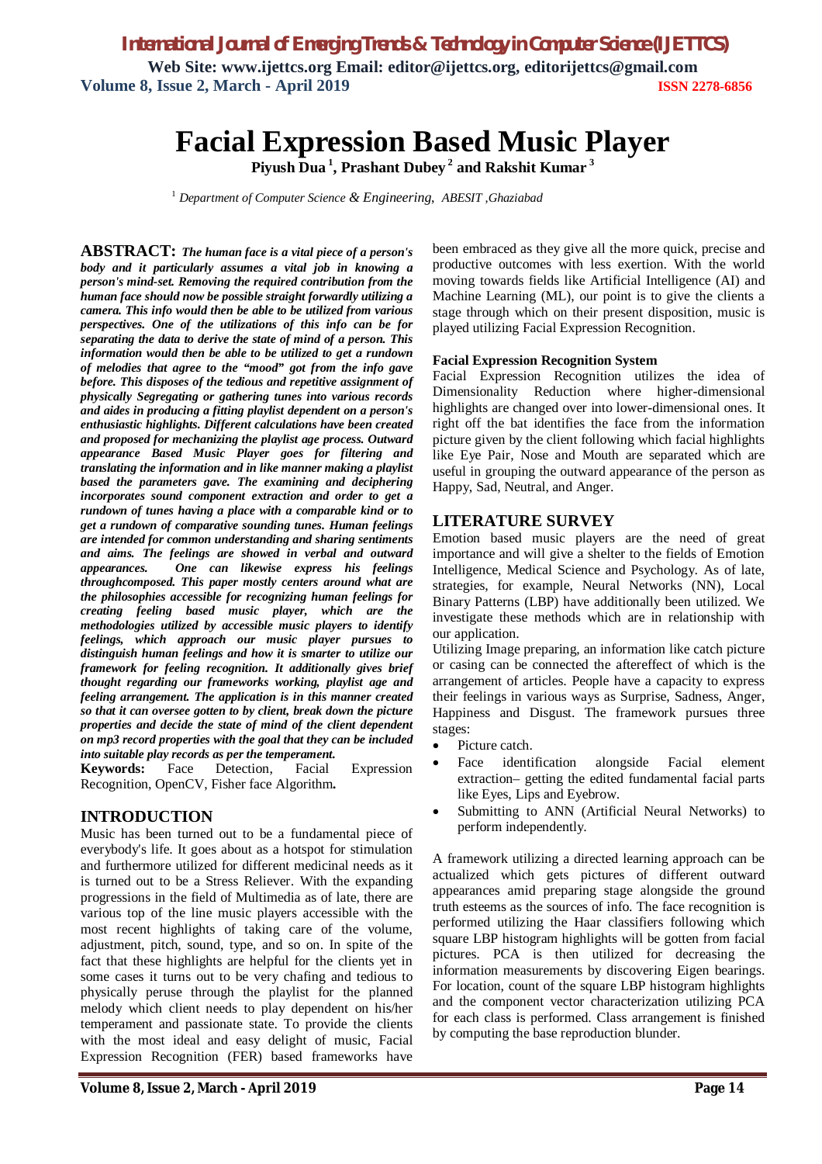*International Journal of Emerging Trends & Technology in Computer Science (IJETTCS)* **Web Site: www.ijettcs.org Email: editor@ijettcs.org, editorijettcs@gmail.com Volume 8, Issue 2, March - April 2019 ISSN 2278-6856**

# **Facial Expression Based Music Player**

**Piyush Dua <sup>1</sup> , Prashant Dubey <sup>2</sup> and Rakshit Kumar <sup>3</sup>**

<sup>1</sup> *Department of Computer Science & Engineering*, *ABESIT ,Ghaziabad*

**ABSTRACT:** *The human face is a vital piece of a person's body and it particularly assumes a vital job in knowing a person's mind-set. Removing the required contribution from the human face should now be possible straight forwardly utilizing a camera. This info would then be able to be utilized from various perspectives. One of the utilizations of this info can be for separating the data to derive the state of mind of a person. This information would then be able to be utilized to get a rundown of melodies that agree to the "mood" got from the info gave before. This disposes of the tedious and repetitive assignment of physically Segregating or gathering tunes into various records and aides in producing a fitting playlist dependent on a person's enthusiastic highlights. Different calculations have been created and proposed for mechanizing the playlist age process. Outward appearance Based Music Player goes for filtering and translating the information and in like manner making a playlist based the parameters gave. The examining and deciphering incorporates sound component extraction and order to get a rundown of tunes having a place with a comparable kind or to get a rundown of comparative sounding tunes. Human feelings are intended for common understanding and sharing sentiments and aims. The feelings are showed in verbal and outward appearances. One can likewise express his feelings throughcomposed. This paper mostly centers around what are the philosophies accessible for recognizing human feelings for creating feeling based music player, which are the methodologies utilized by accessible music players to identify feelings, which approach our music player pursues to distinguish human feelings and how it is smarter to utilize our framework for feeling recognition. It additionally gives brief thought regarding our frameworks working, playlist age and feeling arrangement. The application is in this manner created so that it can oversee gotten to by client, break down the picture properties and decide the state of mind of the client dependent on mp3 record properties with the goal that they can be included into suitable play records as per the temperament.*

**Keywords:** Face Detection, Facial Expression Recognition, OpenCV, Fisher face Algorithm*.*

# **INTRODUCTION**

Music has been turned out to be a fundamental piece of everybody's life. It goes about as a hotspot for stimulation and furthermore utilized for different medicinal needs as it is turned out to be a Stress Reliever. With the expanding progressions in the field of Multimedia as of late, there are various top of the line music players accessible with the most recent highlights of taking care of the volume, adjustment, pitch, sound, type, and so on. In spite of the fact that these highlights are helpful for the clients yet in some cases it turns out to be very chafing and tedious to physically peruse through the playlist for the planned melody which client needs to play dependent on his/her temperament and passionate state. To provide the clients with the most ideal and easy delight of music, Facial Expression Recognition (FER) based frameworks have

been embraced as they give all the more quick, precise and productive outcomes with less exertion. With the world moving towards fields like Artificial Intelligence (AI) and Machine Learning (ML), our point is to give the clients a stage through which on their present disposition, music is played utilizing Facial Expression Recognition.

# **Facial Expression Recognition System**

Facial Expression Recognition utilizes the idea of Dimensionality Reduction where higher-dimensional highlights are changed over into lower-dimensional ones. It right off the bat identifies the face from the information picture given by the client following which facial highlights like Eye Pair, Nose and Mouth are separated which are useful in grouping the outward appearance of the person as Happy, Sad, Neutral, and Anger.

# **LITERATURE SURVEY**

Emotion based music players are the need of great importance and will give a shelter to the fields of Emotion Intelligence, Medical Science and Psychology. As of late, strategies, for example, Neural Networks (NN), Local Binary Patterns (LBP) have additionally been utilized. We investigate these methods which are in relationship with our application.

Utilizing Image preparing, an information like catch picture or casing can be connected the aftereffect of which is the arrangement of articles. People have a capacity to express their feelings in various ways as Surprise, Sadness, Anger, Happiness and Disgust. The framework pursues three stages:

- Picture catch.
- Face identification alongside Facial element extraction– getting the edited fundamental facial parts like Eyes, Lips and Eyebrow.
- Submitting to ANN (Artificial Neural Networks) to perform independently.

A framework utilizing a directed learning approach can be actualized which gets pictures of different outward appearances amid preparing stage alongside the ground truth esteems as the sources of info. The face recognition is performed utilizing the Haar classifiers following which square LBP histogram highlights will be gotten from facial pictures. PCA is then utilized for decreasing the information measurements by discovering Eigen bearings. For location, count of the square LBP histogram highlights and the component vector characterization utilizing PCA for each class is performed. Class arrangement is finished by computing the base reproduction blunder.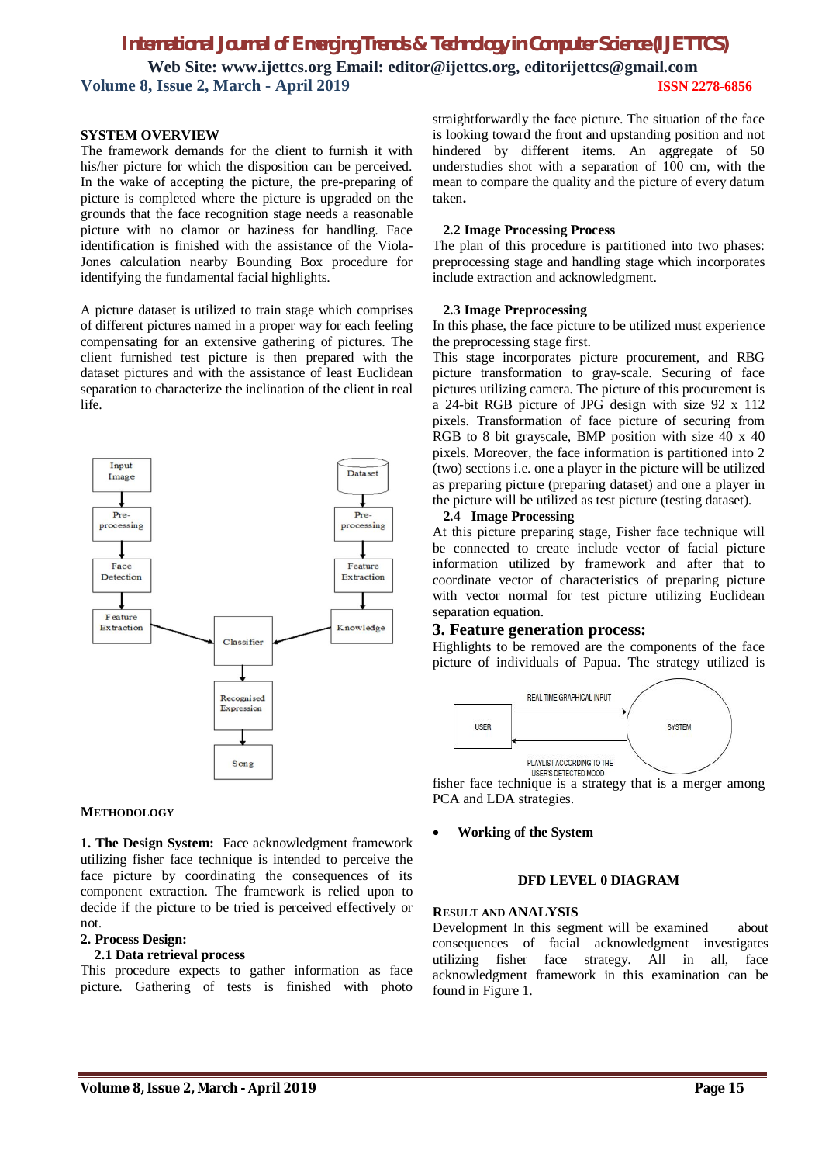# *International Journal of Emerging Trends & Technology in Computer Science (IJETTCS)* **Web Site: www.ijettcs.org Email: editor@ijettcs.org, editorijettcs@gmail.com Volume 8, Issue 2, March - April 2019 ISSN 2278-6856**

### **SYSTEM OVERVIEW**

The framework demands for the client to furnish it with his/her picture for which the disposition can be perceived. In the wake of accepting the picture, the pre-preparing of picture is completed where the picture is upgraded on the grounds that the face recognition stage needs a reasonable picture with no clamor or haziness for handling. Face identification is finished with the assistance of the Viola-Jones calculation nearby Bounding Box procedure for identifying the fundamental facial highlights.

A picture dataset is utilized to train stage which comprises of different pictures named in a proper way for each feeling compensating for an extensive gathering of pictures. The client furnished test picture is then prepared with the dataset pictures and with the assistance of least Euclidean separation to characterize the inclination of the client in real life.



#### **METHODOLOGY**

**1. The Design System:** Face acknowledgment framework utilizing fisher face technique is intended to perceive the face picture by coordinating the consequences of its component extraction. The framework is relied upon to decide if the picture to be tried is perceived effectively or not.

## **2. Process Design:**

# **2.1 Data retrieval process**

This procedure expects to gather information as face picture. Gathering of tests is finished with photo straightforwardly the face picture. The situation of the face is looking toward the front and upstanding position and not hindered by different items. An aggregate of 50 understudies shot with a separation of 100 cm, with the mean to compare the quality and the picture of every datum taken**.**

#### **2.2 Image Processing Process**

The plan of this procedure is partitioned into two phases: preprocessing stage and handling stage which incorporates include extraction and acknowledgment.

# **2.3 Image Preprocessing**

In this phase, the face picture to be utilized must experience the preprocessing stage first.

This stage incorporates picture procurement, and RBG picture transformation to gray-scale. Securing of face pictures utilizing camera. The picture of this procurement is a 24-bit RGB picture of JPG design with size 92 x 112 pixels. Transformation of face picture of securing from RGB to 8 bit grayscale, BMP position with size 40 x 40 pixels. Moreover, the face information is partitioned into 2 (two) sections i.e. one a player in the picture will be utilized as preparing picture (preparing dataset) and one a player in the picture will be utilized as test picture (testing dataset).

#### **2.4 Image Processing**

At this picture preparing stage, Fisher face technique will be connected to create include vector of facial picture information utilized by framework and after that to coordinate vector of characteristics of preparing picture with vector normal for test picture utilizing Euclidean separation equation.

# **3. Feature generation process:**

Highlights to be removed are the components of the face picture of individuals of Papua. The strategy utilized is



fisher face technique is a strategy that is a merger among PCA and LDA strategies.

### **Working of the System**

#### **DFD LEVEL 0 DIAGRAM**

#### **RESULT AND ANALYSIS**

Development In this segment will be examined about consequences of facial acknowledgment investigates utilizing fisher face strategy. All in all, face acknowledgment framework in this examination can be found in Figure 1.